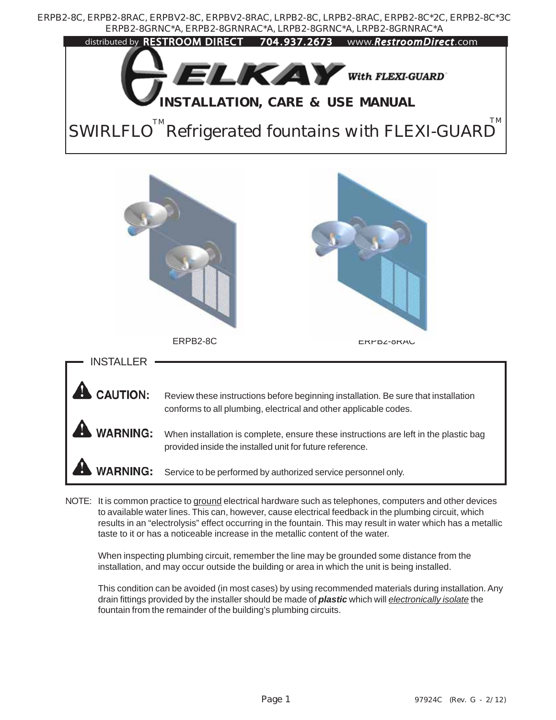

NOTE: It is common practice to ground electrical hardware such as telephones, computers and other devices to available water lines. This can, however, cause electrical feedback in the plumbing circuit, which results in an "electrolysis" effect occurring in the fountain. This may result in water which has a metallic taste to it or has a noticeable increase in the metallic content of the water.

When inspecting plumbing circuit, remember the line may be grounded some distance from the installation, and may occur outside the building or area in which the unit is being installed.

This condition can be avoided (in most cases) by using recommended materials during installation. Any drain fittings provided by the installer should be made of *plastic* which will *electronically isolate* the fountain from the remainder of the building's plumbing circuits.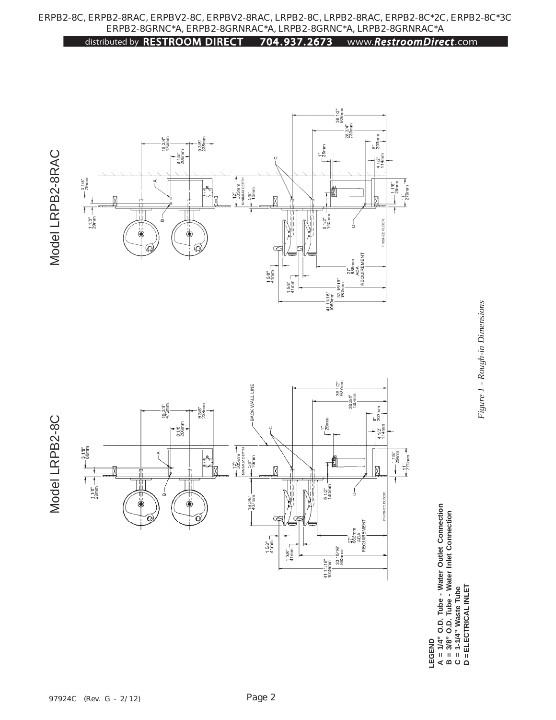

distributed by RESTROOM DIRECT 704 . 937. 2673 www.*RestroomDirect*.com

LEGEND  **LEGEND**

 $A = 1/4"$  O.D. Tube - Water Outlet Connection<br>B = 3/8" O.D. Tube - Water Inlet Connection<br>C = 1-1/4" Waste Tube<br>D = ELECTRICAL INLET  **B = 3/8" O.D. Tube - Water Inlet Connection**

 **C = 1-1/4" Waste Tube D = ELECTRICAL INLET**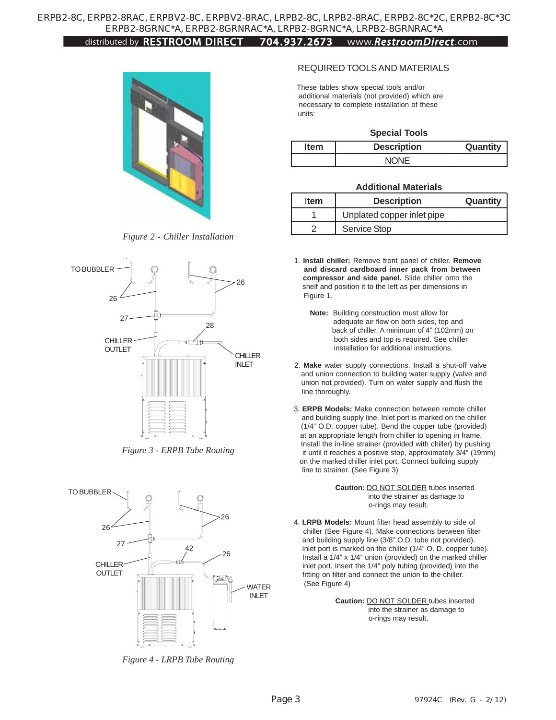## distributed by RESTROOM DIRECT 704 . 937. 2673 www.*RestroomDirect*.com



*Figure 2 - Chiller Installation*



*Figure 3 - ERPB Tube Routing*



*Figure 4 - LRPB Tube Routing*

#### REQUIRED TOOLS AND MATERIALS

 These tables show special tools and/or additional materials (not provided) which are necessary to complete installation of these units:

#### **Special Tools**

| <b>Item</b> | <b>Description</b> | Quantity |
|-------------|--------------------|----------|
|             | NONE               |          |

#### **Additional Materials**

| <b>Item</b> | <b>Description</b>         | Quantity |
|-------------|----------------------------|----------|
|             | Unplated copper inlet pipe |          |
|             | Service Stop               |          |

- 1. **Install chiller:** Remove front panel of chiller. **Remove and discard cardboard inner pack from between compressor and side panel.** Slide chiller onto the shelf and position it to the left as per dimensions in Figure 1.
	- **Note:** Building construction must allow for adequate air flow on both sides, top and back of chiller. A minimum of 4" (102mm) on both sides and top is required. See chiller installation for additional instructions.
- 2. **Make** water supply connections. Install a shut-off valve and union connection to building water supply (valve and union not provided). Turn on water supply and flush the line thoroughly.
- 3. **ERPB Models:** Make connection between remote chiller and building supply line. Inlet port is marked on the chiller (1/4" O.D. copper tube). Bend the copper tube (provided) at an appropriate length from chiller to opening in frame. Install the in-line strainer (provided with chiller) by pushing it until it reaches a positive stop, approximately 3/4" (19mm) on the marked chiller inlet port. Connect building supply line to strainer. (See Figure 3)

 **Caution:** DO NOT SOLDER tubes inserted into the strainer as damage to o-rings may result.

 4. **LRPB Models:** Mount filter head assembly to side of chiller (See Figure 4). Make connections between filter and building supply line (3/8" O.D. tube not porvided). Inlet port is marked on the chiller (1/4" O. D. copper tube). Install a 1/4" x 1/4" union (provided) on the marked chiller inlet port. Insert the 1/4" poly tubing (provided) into the fitting on filter and connect the union to the chiller. (See Figure 4)

> **Caution:** DO NOT SOLDER tubes inserted into the strainer as damage to o-rings may result.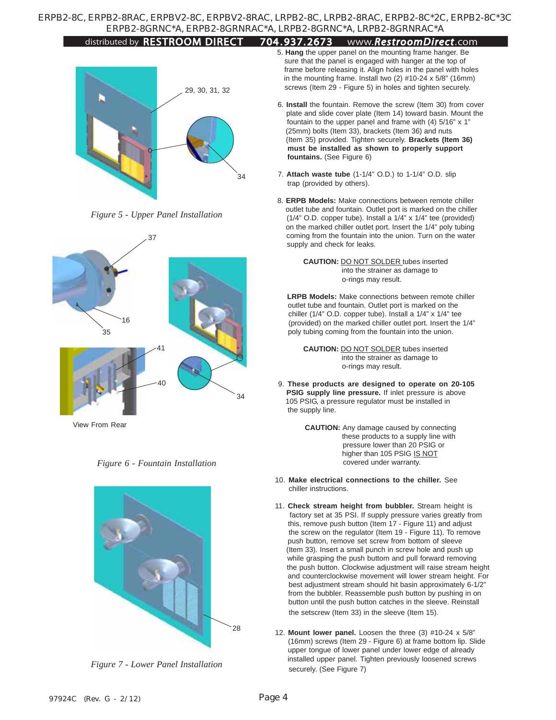#### distributed by RESTROOM DIRECT 704 . 937. 2673 www.*RestroomDirect*.com



*Figure 5 - Upper Panel Installation*



View From Rear





*Figure 7 - Lower Panel Installation*

- 5. **Hang** the upper panel on the mounting frame hanger. Be sure that the panel is engaged with hanger at the top of frame before releasing it. Align holes in the panel with holes in the mounting frame. Install two (2) #10-24 x 5/8" (16mm) screws (Item 29 - Figure 5) in holes and tighten securely.
- 6. **Install** the fountain. Remove the screw (Item 30) from cover plate and slide cover plate (Item 14) toward basin. Mount the fountain to the upper panel and frame with (4) 5/16" x 1" (25mm) bolts (Item 33), brackets (Item 36) and nuts (Item 35) provided. Tighten securely. **Brackets (Item 36) must be installed as shown to properly support fountains.** (See Figure 6)
- 7. **Attach waste tube** (1-1/4" O.D.) to 1-1/4" O.D. slip trap (provided by others).
- 8. **ERPB Models:** Make connections between remote chiller outlet tube and fountain. Outlet port is marked on the chiller (1/4" O.D. copper tube). Install a 1/4" x 1/4" tee (provided) on the marked chiller outlet port. Insert the 1/4" poly tubing coming from the fountain into the union. Turn on the water supply and check for leaks.

 **CAUTION:** DO NOT SOLDER tubes inserted into the strainer as damage to o-rings may result.

 **LRPB Models:** Make connections between remote chiller outlet tube and fountain. Outlet port is marked on the chiller (1/4" O.D. copper tube). Install a 1/4" x 1/4" tee (provided) on the marked chiller outlet port. Insert the 1/4" poly tubing coming from the fountain into the union.

 **CAUTION:** DO NOT SOLDER tubes inserted into the strainer as damage to o-rings may result.

- 9. **These products are designed to operate on 20-105 PSIG supply line pressure.** If inlet pressure is above 105 PSIG, a pressure regulator must be installed in the supply line.
	- **CAUTION:** Any damage caused by connecting these products to a supply line with pressure lower than 20 PSIG or higher than 105 PSIG IS NOT covered under warranty.
- 10. **Make electrical connections to the chiller.** See chiller instructions.
- 11. **Check stream height from bubbler.** Stream height is factory set at 35 PSI. If supply pressure varies greatly from this, remove push button (Item 17 - Figure 11) and adjust the screw on the regulator (Item 19 - Figure 11). To remove push button, remove set screw from bottom of sleeve (Item 33). Insert a small punch in screw hole and push up while grasping the push buttom and pull forward removing the push button. Clockwise adjustment will raise stream height and counterclockwise movement will lower stream height. For best adjustment stream should hit basin approximately 6-1/2" from the bubbler. Reassemble push button by pushing in on button until the push button catches in the sleeve. Reinstall the setscrew (Item 33) in the sleeve (Item 15).
- 12. **Mount lower panel.** Loosen the three (3) #10-24 x 5/8" (16mm) screws (Item 29 - Figure 6) at frame bottom lip. Slide upper tongue of lower panel under lower edge of already installed upper panel. Tighten previously loosened screws securely. (See Figure 7)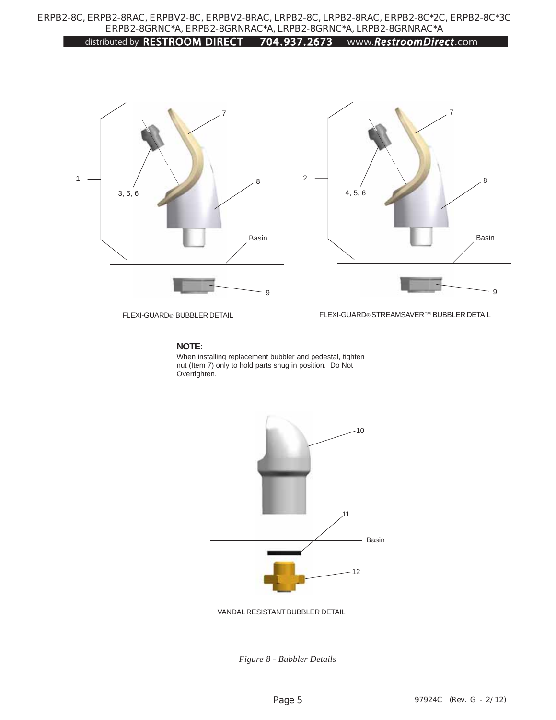### distributed by RESTROOM DIRECT 704 . 937. 2673 www.*RestroomDirect*.com



FLEXI-GUARD® BUBBLER DETAIL

FLEXI-GUARD® STREAMSAVER™ BUBBLER DETAIL

#### **NOTE:**

When installing replacement bubbler and pedestal, tighten nut (Item 7) only to hold parts snug in position. Do Not Overtighten.



VANDAL RESISTANT BUBBLER DETAIL

*Figure 8 - Bubbler Details*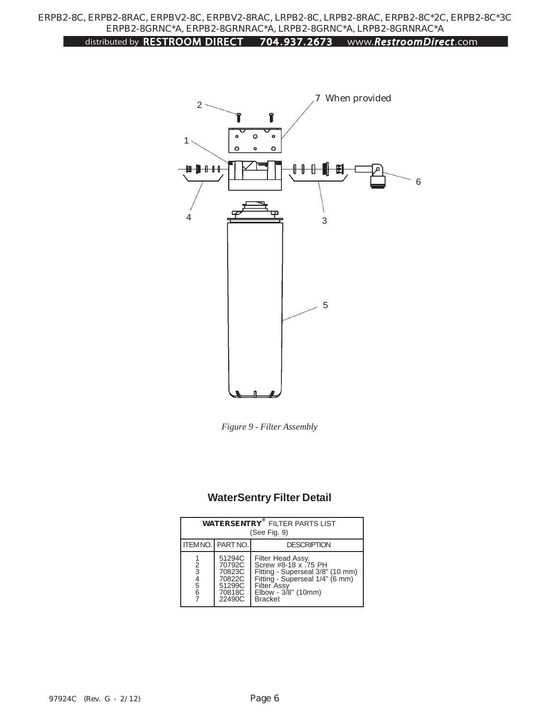## distributed by RESTROOM DIRECT 704 . 937. 2673 www.*RestroomDirect*.com



*Figure 9 - Filter Assembly*

# **WaterSentry Filter Detail**

| <b>WATERSENTRY<sup>®</sup> FILTER PARTS LIST</b><br>(See Fig. 9) |                                                                    |                                                                                                                                                                          |  |  |  |
|------------------------------------------------------------------|--------------------------------------------------------------------|--------------------------------------------------------------------------------------------------------------------------------------------------------------------------|--|--|--|
|                                                                  | <b>ITEM NO. PART NO.</b>                                           | <b>DESCRIPTION</b>                                                                                                                                                       |  |  |  |
| 2<br>3<br>4<br>5<br>6                                            | 51294C<br>70792C<br>70823C<br>70822C<br>51299C<br>70818C<br>22490C | Filter Head Assy.<br>Screw #8-18 x .75 PH<br>Fitting - Superseal 3/8" (10 mm)<br>Fitting - Superseal 1/4" (6 mm)<br>Filter Assy<br>Elbow - 3/8" (10mm)<br><b>Bracket</b> |  |  |  |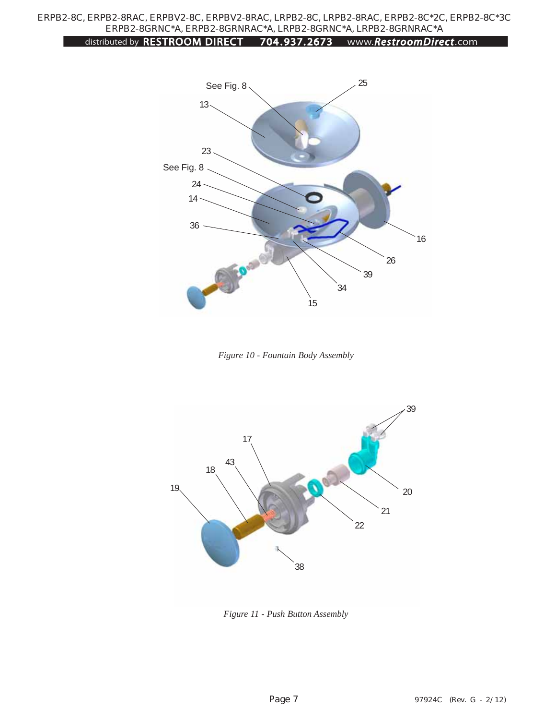## distributed by RESTROOM DIRECT 704 . 937. 2673 www.*RestroomDirect*.com



*Figure 10 - Fountain Body Assembly*



*Figure 11 - Push Button Assembly*